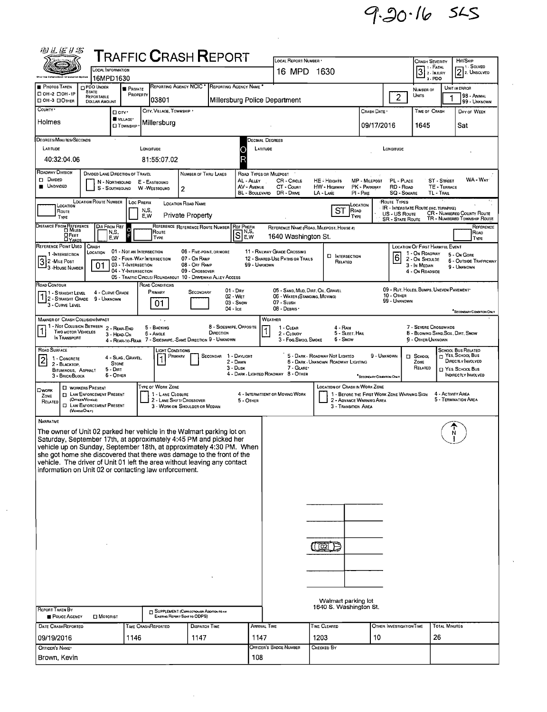$9.20.16$  SLS

| 羽孔运扩影                                                                                                                                                                                                                                                                                                                                                                                                                                   |                                                                                                                                       |                                            |                                                                                         |                                                                           |                                      |                                              |                                                                                                   |                                                                       |                                                                         |                                                 |                                                                                  |                                             |                                                                          |  |  |
|-----------------------------------------------------------------------------------------------------------------------------------------------------------------------------------------------------------------------------------------------------------------------------------------------------------------------------------------------------------------------------------------------------------------------------------------|---------------------------------------------------------------------------------------------------------------------------------------|--------------------------------------------|-----------------------------------------------------------------------------------------|---------------------------------------------------------------------------|--------------------------------------|----------------------------------------------|---------------------------------------------------------------------------------------------------|-----------------------------------------------------------------------|-------------------------------------------------------------------------|-------------------------------------------------|----------------------------------------------------------------------------------|---------------------------------------------|--------------------------------------------------------------------------|--|--|
| $\sf{T}$ RAFFIC $\sf{C}$ RASH $\sf{R}$ EPORT<br>LOCAL INFORMATION                                                                                                                                                                                                                                                                                                                                                                       |                                                                                                                                       |                                            |                                                                                         |                                                                           |                                      |                                              | LOCAL REPORT NUMBER .<br>16 MPD 1630                                                              |                                                                       |                                                                         | <b>CRASH SEVERITY</b><br>3 <sup>1. F</sup> ATAL |                                                                                  | HIT/SKIP<br>11 - Solved<br>$22$ 2. UNSOLVED |                                                                          |  |  |
| teach is a fair contact in the sect.<br>PHOTOS TAKEN                                                                                                                                                                                                                                                                                                                                                                                    | 16MPD1630<br>PDO UNDER                                                                                                                |                                            |                                                                                         | REPORTING AGENCY NCIC <sup>*</sup> REPORTING AGENCY NAME <sup>*</sup>     |                                      |                                              |                                                                                                   |                                                                       |                                                                         |                                                 | 3 - PDO                                                                          |                                             |                                                                          |  |  |
| □ 0H-2 □ 0H-1P<br>□ ОН-3 □ ОТНЕВ                                                                                                                                                                                                                                                                                                                                                                                                        | <b>STATE</b><br>REPORTABLE                                                                                                            | <b>PRIVATE</b><br>PROPERTY                 | 03801                                                                                   |                                                                           |                                      |                                              | Millersburg Police Department                                                                     |                                                                       |                                                                         | $\overline{2}$                                  | NUMBER OF<br><b>UNITS</b>                                                        | 1                                           | UNIT IN ERROR<br>98 - ANIMAL                                             |  |  |
| COUNTY <sup>.</sup>                                                                                                                                                                                                                                                                                                                                                                                                                     | <b>DOLLAR AMOUNT</b>                                                                                                                  | □ cirv·                                    | CITY, VILLAGE, TOWNSHIP .                                                               |                                                                           |                                      |                                              |                                                                                                   |                                                                       | Crash Date •                                                            |                                                 | TIME OF CRASH                                                                    |                                             | 99 - UNKNOWN<br>DAY OF WEEK                                              |  |  |
| Holmes                                                                                                                                                                                                                                                                                                                                                                                                                                  |                                                                                                                                       | VILLAGE*<br><b>LI TOWNSHIP</b>             | Millersburg                                                                             |                                                                           |                                      |                                              |                                                                                                   |                                                                       | 09/17/2016                                                              |                                                 | 1645                                                                             |                                             | Sat                                                                      |  |  |
| DEGREES/MINUTES/SECONDS                                                                                                                                                                                                                                                                                                                                                                                                                 |                                                                                                                                       |                                            |                                                                                         |                                                                           |                                      |                                              |                                                                                                   |                                                                       |                                                                         |                                                 |                                                                                  |                                             |                                                                          |  |  |
| LATITUDE                                                                                                                                                                                                                                                                                                                                                                                                                                |                                                                                                                                       |                                            | LONGITUDE                                                                               |                                                                           |                                      | С                                            | Decimal Degrees<br>LATITUDE<br>LONGITUDE                                                          |                                                                       |                                                                         |                                                 |                                                                                  |                                             |                                                                          |  |  |
| 40:32:04.06                                                                                                                                                                                                                                                                                                                                                                                                                             |                                                                                                                                       |                                            | 81:55:07.02                                                                             |                                                                           |                                      |                                              |                                                                                                   |                                                                       |                                                                         |                                                 |                                                                                  |                                             |                                                                          |  |  |
| ROADWAY DIVISION<br>DIVIDED LANE DIRECTION OF TRAVEL<br>NUMBER OF THRU LANES<br>ROAD TYPES OR MILEPOST<br>$\square$ Divided<br>AL - ALLEY<br><b>ST - STREET</b><br>CR - CIRCLE<br>HE - HEIGHTS<br>MP - MILEPOST<br>PL - PLACE<br>N - NORTHBOUND<br>E - EASTBOUND<br><b>UNDIVIDED</b><br>AV - AVENUE<br>CT - Count<br>HW - HIGHWAY<br>RD - ROAD<br>TE - TERRACE<br>PK - PARKWAY<br>S - SOUTHBOUND<br>W -WESTBOUND<br>2<br>BL - BOULEVARD |                                                                                                                                       |                                            |                                                                                         |                                                                           |                                      |                                              |                                                                                                   |                                                                       |                                                                         |                                                 |                                                                                  | WA - WAY                                    |                                                                          |  |  |
| DR - DRNE<br>LA - LANE<br>PI-PIKE<br><b>SQ - SOVARE</b><br>TL - TRAIL<br><b>LOCATION ROUTE NUMBER</b><br><b>LOC PREFIX</b><br>Route Types<br><b>LOCATION ROAD NAME</b><br>LOCATION<br>LOCATION<br>IR - INTERSTATE ROUTE (INC. TURNPIKE)                                                                                                                                                                                                 |                                                                                                                                       |                                            |                                                                                         |                                                                           |                                      |                                              |                                                                                                   |                                                                       |                                                                         |                                                 |                                                                                  |                                             |                                                                          |  |  |
| ROUTE<br>TYPE                                                                                                                                                                                                                                                                                                                                                                                                                           |                                                                                                                                       |                                            | N,S,<br>E,W                                                                             | <b>Private Property</b>                                                   |                                      |                                              |                                                                                                   | SТ<br>ROAD<br>TYPE                                                    |                                                                         | US - US Route<br><b>SR - STATE ROUTE</b>        |                                                                                  |                                             | <b>CR - NUMBERED COUNTY ROUTE</b><br>TR - NUMBERED TOWNSHIP ROUTE        |  |  |
| DISTANCE FROM REFERENCE                                                                                                                                                                                                                                                                                                                                                                                                                 |                                                                                                                                       | DIR FROM REF<br>N,S,                       | Route                                                                                   | REFERENCE REFERENCE ROUTE NUMBER REF PREFIX                               |                                      | 'SI <sup>N.S.</sup>                          |                                                                                                   | REFERENCE NAME (ROAD, MILEPOST, HOUSE #)                              |                                                                         |                                                 |                                                                                  |                                             | REFERENCE<br>Road                                                        |  |  |
| <b>OFEET</b><br>REFERENCE POINT USED                                                                                                                                                                                                                                                                                                                                                                                                    | CRASH                                                                                                                                 | Ē<br>E,W                                   | TYPE                                                                                    |                                                                           |                                      | E.W                                          | 1640 Washington St.                                                                               |                                                                       |                                                                         |                                                 | <b>LOCATION OF FIRST HARMFUL EVENT</b>                                           |                                             | TYPE                                                                     |  |  |
| 1-INTERSECTION                                                                                                                                                                                                                                                                                                                                                                                                                          | LOCATION                                                                                                                              | 01 - NOT AN INTERSECTION                   | 02 - FOUR-WAY INTERSECTION                                                              | 06 - FIVE-POINT, OR MORE<br>07 - On RAMP                                  |                                      |                                              | 11 - RAILWAY GRADE CROSSING<br>12 - SHARED-USE PATHS OR TRAILS                                    | <b>INTERSECTION</b>                                                   |                                                                         | 6                                               | 1 - On ROADWAY<br>2 - ON SHOULDE                                                 |                                             | 5 - On Gore<br>6 - OUTSIDE TRAFFICWAY                                    |  |  |
| 32 - MILE POST<br>3 - House Number                                                                                                                                                                                                                                                                                                                                                                                                      | 01                                                                                                                                    | 03 - T-Intersection<br>04 - Y-INTERSECTION |                                                                                         | 08 - OFF RAMP<br>09 - Crossover                                           |                                      | 99 - UNKNOWN                                 |                                                                                                   | RELATED                                                               |                                                                         |                                                 | 3 - In Median<br>4 - On Roadside                                                 |                                             | 9 - UNKNOWN                                                              |  |  |
| ROAD CONTOUR                                                                                                                                                                                                                                                                                                                                                                                                                            |                                                                                                                                       |                                            | 05 - TRAFFIC CIRCLE/ ROUNDABOUT 10 - DRIVEWAY/ ALLEY ACCESS<br>ROAD CONDITIONS          |                                                                           |                                      |                                              |                                                                                                   |                                                                       |                                                                         |                                                 |                                                                                  |                                             |                                                                          |  |  |
| 71 - Straight Level<br>1 2 - STRAIGHT GRADE 9 - UNKNOWN<br>3 - CURVE LEVEL                                                                                                                                                                                                                                                                                                                                                              | 4 - CURVE GRADE                                                                                                                       |                                            | PRIMARY<br>01                                                                           | SECONDARY                                                                 | 04 - Ice                             | $01 - \text{Dry}$<br>02 - WET<br>$03 -$ Snow | 05 - SAND, MUD, DIRT, OIL, GRAVEL<br>06 - WATER (STANDING, MOVING)<br>07 - SLUSH<br>08 - DEBRIS · |                                                                       |                                                                         | <b>10 - OTHER</b><br>99 - Unknown               | 09 - RUT. HOLES, BUMPS, UNEVEN PAVEMENT*                                         |                                             | "SECONDARY CONDITION ONLY                                                |  |  |
| MANNER OF CRASH COLLISION/IMPACT                                                                                                                                                                                                                                                                                                                                                                                                        |                                                                                                                                       |                                            | $\sim$ $\sim$                                                                           |                                                                           |                                      |                                              | WEATHER                                                                                           |                                                                       |                                                                         |                                                 |                                                                                  |                                             |                                                                          |  |  |
| Two MOTOR VEHICLES<br>In TRANSPORT                                                                                                                                                                                                                                                                                                                                                                                                      | - Not Collision Between 2 - Rear-End                                                                                                  | 3 - HEAD-ON                                | 5 - BACKING<br>6 - Angle<br>4 - REAR-TO-REAR 7 - SIDESWIPE, -SAME DIRECTION 9 - UNKNOWN |                                                                           | 8 - SIDESWIPE, OPPOSITE<br>DIRECTION |                                              | 1 - CLEAR<br>2 - CLOUDY<br>3 - Fog.Smog. Smoke                                                    | 4 - RAIN<br>5 - SLEET, HAIL<br>6 - Snow                               |                                                                         |                                                 | 7 - SEVERE CROSSWINDS<br>8 - Blowing Sand, Soil, Dirt, Snow<br>9 - OTHER/UNKNOWN |                                             |                                                                          |  |  |
| ROAD SURFACE<br>1 - CONCRETE<br>2                                                                                                                                                                                                                                                                                                                                                                                                       |                                                                                                                                       | 4 - SLAG, GRAVEL.                          | Light Conditions                                                                        | PRIMARY                                                                   | Secondar                             | 1 - Dayught                                  |                                                                                                   | 5 - DARK - ROADWAY NOT LIGHTED<br>6 - DARK - UNKNOWN ROADWAY LIGHTING | 9 - UNKNOWN                                                             |                                                 | $\Box$ School                                                                    |                                             | <b>SCHOOL BUS RELATED</b><br>$\Box$ Yes. School Bus<br>Directly Involved |  |  |
| 2 - BLACKTOP.<br>BITUMINOUS, ASPHALT<br>3 - BRICK/BLOCK                                                                                                                                                                                                                                                                                                                                                                                 |                                                                                                                                       | <b>STONE</b><br>$5 - DIRT$<br>6 - OTHER    |                                                                                         |                                                                           |                                      | 2 - DAWN<br>3 - Dusk                         | 7 - GLARE<br>4 - DARK - LIGHTED ROADWAY 8 - OTHER                                                 |                                                                       | <sup>*</sup> SECONDARY CONDITION ONLY                                   |                                                 | ZONE<br>RELATED                                                                  |                                             | T YES, SCHOOL BUS<br><b>INDIRECTLY INVOLVED</b>                          |  |  |
| OWORK<br>ZONE<br>RELATED                                                                                                                                                                                                                                                                                                                                                                                                                | <b>CI WORKERS PRESENT</b><br><b>I LAW ENFORCEMENT PRESENT</b><br>(OFFICER/VENCLE)<br><b>D</b> LAW ENFORCEMENT PRESENT<br>(VEHOLEONLY) |                                            | TYPE OF WORK ZONE<br>1 - LANE CLOSURE                                                   | 2 - LANE SHIFT/ CROSSOVER<br>3 - WORK ON SHOULDER OR MEDIAN               |                                      | 5 - OTHER                                    | 4 - INTERMITTENT OR MOVING WORK                                                                   | <b>LOCATION OF CRASH IN WORK ZONE</b><br>3 - TRANSITION AREA          | 1 - BEFORE THE FIRST WORK ZONE WARNING SIGN<br>2 - ADVANCE WARNING AREA |                                                 |                                                                                  |                                             | 4 - ACTIVITY AREA<br>5 - TERMINATION AREA                                |  |  |
| NARRATIVE<br>The owner of Unit 02 parked her vehicle in the Walmart parking lot on<br>Saturday, September 17th, at approximately 4:45 PM and picked her                                                                                                                                                                                                                                                                                 |                                                                                                                                       |                                            |                                                                                         |                                                                           |                                      |                                              |                                                                                                   |                                                                       |                                                                         |                                                 |                                                                                  |                                             |                                                                          |  |  |
| vehicle up on Sunday, September 18th, at approximately 4:30 PM. When<br>she got home she discovered that there was damage to the front of the<br>vehicle. The driver of Unit 01 left the area without leaving any contact<br>information on Unit 02 or contacting law enforcement.                                                                                                                                                      |                                                                                                                                       |                                            |                                                                                         |                                                                           |                                      |                                              |                                                                                                   |                                                                       |                                                                         |                                                 |                                                                                  |                                             |                                                                          |  |  |
|                                                                                                                                                                                                                                                                                                                                                                                                                                         |                                                                                                                                       |                                            |                                                                                         |                                                                           |                                      |                                              |                                                                                                   |                                                                       |                                                                         |                                                 |                                                                                  |                                             |                                                                          |  |  |
|                                                                                                                                                                                                                                                                                                                                                                                                                                         |                                                                                                                                       |                                            |                                                                                         |                                                                           |                                      |                                              |                                                                                                   |                                                                       |                                                                         |                                                 |                                                                                  |                                             |                                                                          |  |  |
|                                                                                                                                                                                                                                                                                                                                                                                                                                         |                                                                                                                                       |                                            |                                                                                         |                                                                           |                                      |                                              |                                                                                                   |                                                                       |                                                                         |                                                 |                                                                                  |                                             |                                                                          |  |  |
|                                                                                                                                                                                                                                                                                                                                                                                                                                         |                                                                                                                                       |                                            |                                                                                         |                                                                           |                                      |                                              |                                                                                                   |                                                                       |                                                                         |                                                 |                                                                                  |                                             |                                                                          |  |  |
|                                                                                                                                                                                                                                                                                                                                                                                                                                         |                                                                                                                                       |                                            |                                                                                         |                                                                           |                                      |                                              |                                                                                                   | (To B                                                                 |                                                                         |                                                 |                                                                                  |                                             |                                                                          |  |  |
|                                                                                                                                                                                                                                                                                                                                                                                                                                         |                                                                                                                                       |                                            |                                                                                         |                                                                           |                                      |                                              |                                                                                                   |                                                                       |                                                                         |                                                 |                                                                                  |                                             |                                                                          |  |  |
|                                                                                                                                                                                                                                                                                                                                                                                                                                         |                                                                                                                                       |                                            |                                                                                         |                                                                           |                                      |                                              |                                                                                                   |                                                                       |                                                                         |                                                 |                                                                                  |                                             |                                                                          |  |  |
|                                                                                                                                                                                                                                                                                                                                                                                                                                         |                                                                                                                                       |                                            |                                                                                         |                                                                           |                                      |                                              |                                                                                                   |                                                                       |                                                                         |                                                 |                                                                                  |                                             |                                                                          |  |  |
|                                                                                                                                                                                                                                                                                                                                                                                                                                         |                                                                                                                                       |                                            |                                                                                         |                                                                           |                                      |                                              | Walmart parking lot                                                                               |                                                                       |                                                                         |                                                 |                                                                                  |                                             |                                                                          |  |  |
| <b>REPORT TAKEN BY</b><br>POLICE AGENCY                                                                                                                                                                                                                                                                                                                                                                                                 | <b>D</b> MOTORIST                                                                                                                     |                                            |                                                                                         | SUPPLEMENT (CORRECTION OR ADDITION TO AN<br>EXISTING REPORT SENT TO ODPS) |                                      |                                              | 1640 S. Washington St.                                                                            |                                                                       |                                                                         |                                                 |                                                                                  |                                             |                                                                          |  |  |
| DATE CRASHREPORTED                                                                                                                                                                                                                                                                                                                                                                                                                      |                                                                                                                                       |                                            | Time CrashReported                                                                      | DISPATCH TIME                                                             |                                      |                                              | ARRIVAL TIME                                                                                      | TIME CLEARED                                                          |                                                                         | OTHER INVESTIGATION TIME                        |                                                                                  | <b>TOTAL MINUTES</b>                        |                                                                          |  |  |
| 09/19/2016                                                                                                                                                                                                                                                                                                                                                                                                                              |                                                                                                                                       | 1146                                       |                                                                                         | 1147                                                                      |                                      | 1147                                         |                                                                                                   | 1203                                                                  | 10                                                                      |                                                 | 26                                                                               |                                             |                                                                          |  |  |
| OFFICER'S NAME<br>Brown, Kevin                                                                                                                                                                                                                                                                                                                                                                                                          |                                                                                                                                       |                                            |                                                                                         |                                                                           |                                      | 108                                          | Officer's Badge Number                                                                            | CHECKED BY                                                            |                                                                         |                                                 |                                                                                  |                                             |                                                                          |  |  |

 $\hat{\mathcal{A}}$ 

 $\sim 1$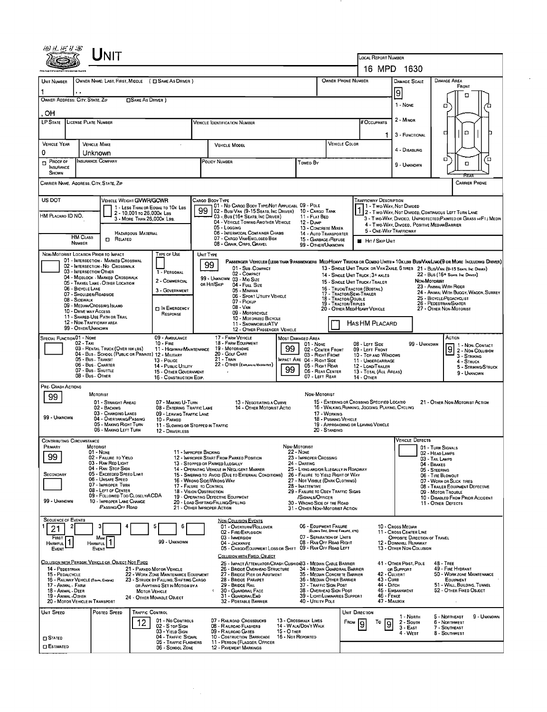| UNIT                                                                                                                                                                                     |                                                                                                                                      |                                                                                                                              |                                                                                                                      |                                                                                                                                        |                                                                                     |  |  |  |  |
|------------------------------------------------------------------------------------------------------------------------------------------------------------------------------------------|--------------------------------------------------------------------------------------------------------------------------------------|------------------------------------------------------------------------------------------------------------------------------|----------------------------------------------------------------------------------------------------------------------|----------------------------------------------------------------------------------------------------------------------------------------|-------------------------------------------------------------------------------------|--|--|--|--|
|                                                                                                                                                                                          |                                                                                                                                      |                                                                                                                              | LOCAL REPORT NUMBER<br>16 MPD 1630                                                                                   |                                                                                                                                        |                                                                                     |  |  |  |  |
| OWNER NAME: LAST, FIRST, MIDDLE ( C SAME AS DRIVER )<br>UNIT NUMBER                                                                                                                      |                                                                                                                                      | <b>OWNER PHONE NUMBER</b>                                                                                                    |                                                                                                                      | <b>DAMAGE AREA</b>                                                                                                                     |                                                                                     |  |  |  |  |
|                                                                                                                                                                                          |                                                                                                                                      |                                                                                                                              |                                                                                                                      | DAMAGE SCALE<br>9                                                                                                                      | FRONT<br>о                                                                          |  |  |  |  |
| OWNER ADDRESS: CITY, STATE, ZIP<br>□ SAME AS DRIVER )                                                                                                                                    |                                                                                                                                      |                                                                                                                              | 1 NONE<br>о                                                                                                          |                                                                                                                                        |                                                                                     |  |  |  |  |
| OН                                                                                                                                                                                       |                                                                                                                                      |                                                                                                                              |                                                                                                                      | 2 - MINOR                                                                                                                              |                                                                                     |  |  |  |  |
| <b>LP STATE</b><br>LICENSE PLATE NUMBER                                                                                                                                                  | <b>VEHICLE IDENTIFICATION NUMBER</b>                                                                                                 |                                                                                                                              | <b># Occupants</b>                                                                                                   |                                                                                                                                        | $\Box$<br>д                                                                         |  |  |  |  |
| <b>VEHICLE YEAR</b><br><b>VEHICLE MAKE</b>                                                                                                                                               | <b>VEHICLE MODEL</b>                                                                                                                 | <b>VEHICLE COLOR</b>                                                                                                         | 1                                                                                                                    | 3 - FUNCTIONAL                                                                                                                         |                                                                                     |  |  |  |  |
| 0<br>Unknown                                                                                                                                                                             |                                                                                                                                      |                                                                                                                              |                                                                                                                      | 4 - DISABLING                                                                                                                          |                                                                                     |  |  |  |  |
| Insurance Company<br>PROOF OF<br>$\Box$<br><b>INSURANCE</b><br>SHOWN                                                                                                                     | POLICY NUMBER                                                                                                                        | Toweo By                                                                                                                     |                                                                                                                      | 9 - Unknown                                                                                                                            | $\Box$<br>n<br>O<br>RFA                                                             |  |  |  |  |
| CARRIER NAME, ADDRESS, CITY, STATE, ZIP                                                                                                                                                  |                                                                                                                                      |                                                                                                                              |                                                                                                                      |                                                                                                                                        | <b>CARRIER PHONE</b>                                                                |  |  |  |  |
| US DOT<br>VEHICLE WEIGHT GVWR/GCWR                                                                                                                                                       | Cargo Body Type<br>01 - No CARGO BOOY TYPE/NOT APPLICABL 09 - POLE                                                                   |                                                                                                                              | <b>TRAFFICWAY DESCRIPTION</b><br>1 - Two Way, Not Divided                                                            |                                                                                                                                        |                                                                                     |  |  |  |  |
| 1 - Less Than or Equal to 10k LBS<br>2 - 10,001 to 26,000k LBs<br>HM PLACARO ID NO.<br>3 - MORE THAN 26,000K LBS.                                                                        | 02 - Bus/Van (9-15 Seats, Inc Driver)<br>03 - Bus (16+ SEATS, INC DRIVER)                                                            | 10 - Cargo Tank<br>11 - FLAT BED                                                                                             |                                                                                                                      |                                                                                                                                        | 1 - I WO-VVAY, IVOI DIVIDED<br>2 - T WO-WAY, NOT DIVIDED, CONTINUOUS LEFT TURN LANE |  |  |  |  |
|                                                                                                                                                                                          | 04 - VEHICLE TOWING ANOTHER VEHICLE<br>05 - Logging                                                                                  | 12 - Dump<br>13 - CONCRETE MIXER                                                                                             | 5 - ONE-WAY TRAFFICWAY                                                                                               | 3 - T WO-WAY, DIVIDED, UNPROTECTED (PAINTED OR GRASS >4FT.) MEDIA<br>4 - Two-Way, Divided, Positive Median Barrier                     |                                                                                     |  |  |  |  |
| HAZARDOUS MATERIAL<br><b>HM CLASS</b><br><b>D</b> RELATED<br><b>NUMBER</b>                                                                                                               | 06 - INTERMODAL CONTAINER CHASIS<br>07 - CARGO VAN/ENCLOSEO BOX<br>08 - GRAIN, CHIPS, GRAVEL                                         | 14 - Auto Transporter<br>15 - GARBAGE / REFUSE                                                                               | <b>HIT / SKIP UNIT</b>                                                                                               |                                                                                                                                        |                                                                                     |  |  |  |  |
| NON-MOTORIST LOCATION PRIOR TO IMPACT<br>TYPE OF USE                                                                                                                                     | UNIT TYPE                                                                                                                            | 99 - OTHER/UNKNOWN                                                                                                           |                                                                                                                      |                                                                                                                                        |                                                                                     |  |  |  |  |
| 01 - INTERSECTION - MARKED CROSSWAL<br>02 - INTERSECTION - NO CROSSWALK                                                                                                                  | 99<br>01 - Sub-Compact                                                                                                               | PASSENGER VEHICLES (LESS THAN 9 PASSENGERS MED/HEAVY TRUCKS OR COMBO UNITS > 10K LES BUS/VAVLIMO(9 OR MORE INCLUDING DRIVER) |                                                                                                                      |                                                                                                                                        |                                                                                     |  |  |  |  |
| 03 - INTERSECTION OTHER<br>1 - PERSONAL<br>04 - MIDBLOCK - MARKED CROSSWALK<br>2 - COMMERCIAL<br>05 - TRAVEL LANE - OTHER LOCATION                                                       | 02 - COMPACT<br>99 - UNKNOWN 03 - MIO SIZE                                                                                           |                                                                                                                              | 14 - SINGLE UNIT TRUCK: 3+ AXLES<br>15 - SINGLE UNIT TRUCK / TRAILER                                                 | 13 - SINGLE UNIT TRUCK OR VAN 2AXLE, 6 TIRES 21 - BUS/VAN (9-15 SEATS, INC DRIVER)<br>22 - BUS (16+ SEATS, INC DRIVER)<br>Non-Motorist |                                                                                     |  |  |  |  |
| 06 - BICYCLE LANE<br>3 - GOVERNMENT<br>07 - SHOULDER/ROADSIDE                                                                                                                            | or Hit/Skip<br>04 - Fuu. Size<br>05 - Minivan<br>06 - Sport Utility Vehicle                                                          |                                                                                                                              | 16 - TRUCK/TRACTOR (BOBTAIL)<br>17 - TRACTOR/SEMI-TRAILER                                                            |                                                                                                                                        | 23 - ANIMAL WITH RIDER<br>24 - ANIMAL WITH BUGGY, WAGON, SURREY                     |  |  |  |  |
| 08 - SIDEWALK<br>09 - MEDIAN/CROSSING ISLANO<br>IN EMERGENCY                                                                                                                             | 07 - Pickup<br>08 - VAN                                                                                                              | 18 - TRACTOR/DOUBLE<br>19 - TRACTOR/TRIPLES                                                                                  | 20 - OTHER MED/HEAVY VEHICLE                                                                                         |                                                                                                                                        | 25 - BICYCLE/PEOACYCLIST<br>26 - PEDESTRIAN SKATER<br>27 - OTHER NON-MOTORIST       |  |  |  |  |
| 10 - DRIVE WAY ACCESS<br>RESPONSE<br>11 - SHARED-USE PATH OR TRAIL                                                                                                                       | 09 - MOTORCYCLE<br>10 - MOTORIZED BICYCLE                                                                                            |                                                                                                                              |                                                                                                                      |                                                                                                                                        |                                                                                     |  |  |  |  |
| 12 - NON-TRAFFICWAY AREA<br>99 - OTHER/UNKNOWN                                                                                                                                           | 11 - SNOWMOBILE/ATV<br>12 - OTHER PASSENGER VEHICLE                                                                                  |                                                                                                                              | Has HM Placard                                                                                                       |                                                                                                                                        |                                                                                     |  |  |  |  |
| SPECIAL FUNCTION 01 - NONE<br>09 - AMBULANCE<br>$02 - TAXI$<br>10 - FIRE                                                                                                                 | 17 - FARM VEHICLE<br>18 - FARM EQUIPMENT                                                                                             | <b>MOST DAMAGED AREA</b><br>$01 - None$                                                                                      | 08 - LEFT SIDE                                                                                                       | 99 - UNKNOWN                                                                                                                           | ACTION<br>1 - NON- CONTACT                                                          |  |  |  |  |
| 03 - RENTAL TRUCK (OVER 10KLBS)<br>04 - Bus - School (Public or Private) 12 - Military<br>05 - Bus - Transit<br>13 - Pouce                                                               | 19 - Мотовноме<br>11 - HIGHWAY/MAINTENANCE<br>20 - GOLF CART<br>21 - TRAIN                                                           | 99<br>02 - CENTER FRONT<br>03 - RIGHT FRONT<br>MPACT ARE 04 - RIOHT SIDE                                                     | $\overline{9}$<br>09 - LEFT FRONT<br>2 - Non-Collision<br>10 - TOP AND WINDOWS<br>3 - STRIKING<br>11 - UNOERCARRIAGE |                                                                                                                                        |                                                                                     |  |  |  |  |
| 06 - Bus - Charter<br>14 - PUBLIC UTILITY<br>07 - Bus - SHUTTLE<br>15 - OTHER GOVERNMENT                                                                                                 | 22 - OTHER (EXPLANIN NARRATIVE)                                                                                                      | 05 - RIGHT REAR<br>99<br>06 - REAR CENTER                                                                                    | 12 - LOAD/TRAILER<br>13 - TOTAL (ALL AREAS)                                                                          |                                                                                                                                        | 4 - Struck<br>5 - STRIKING/STRUCK<br>9 - UNKNOWN                                    |  |  |  |  |
| 08 - Bus - OTHER<br>16 - CONSTRUCTION EQIP.                                                                                                                                              |                                                                                                                                      | 07 - LEFT REAR                                                                                                               | <b>14 - OTHER</b>                                                                                                    |                                                                                                                                        |                                                                                     |  |  |  |  |
| PRE- CRASH ACTIONS<br><b>MOTORIST</b><br>99                                                                                                                                              |                                                                                                                                      | NON-MOTORIST                                                                                                                 |                                                                                                                      |                                                                                                                                        |                                                                                     |  |  |  |  |
| 01 - STRAIGHT AHEAD<br>07 - MAKING U-TURN<br>02 - BACKING                                                                                                                                | 13 - NEGOTIATING A CURVE<br>14 - OTHER MOTORIST ACTIO<br>08 - ENTERING TRAFFIC LANE                                                  |                                                                                                                              | 15 - ENTERING OR CROSSING SPECIFIED LOCATIO<br>16 - WALKING, RUNNING, JOGGING, PLAYING, CYCLING                      |                                                                                                                                        | 21 - OTHER NON-MOTORIST ACTION                                                      |  |  |  |  |
| 03 - CHANGING LANES<br>99 - UNKNOWN<br>04 - OVERTAKING/PASSING<br>10 - PARKED<br>05 - MAKING RIGHT TURN                                                                                  | 09 - LEAVING TRAFFIC LANE                                                                                                            | 17 - WORKING<br>18 - Pushing Vehicle                                                                                         | 19 - APPROACHING OR LEAVING VEHICLE                                                                                  |                                                                                                                                        |                                                                                     |  |  |  |  |
| 06 - MAKING LEFT TURN<br>12 - DRIVERLESS                                                                                                                                                 | 11 - SLOWING OR STOPPED IN TRAFFIC                                                                                                   | 20 - Standing                                                                                                                |                                                                                                                      |                                                                                                                                        |                                                                                     |  |  |  |  |
| <b>CONTRIBUTING CIRCUMSTANCE</b><br>"RIMARY<br>MOTORIST                                                                                                                                  |                                                                                                                                      | NDN-MOTORIST                                                                                                                 |                                                                                                                      | VEHICLE DEFECTS                                                                                                                        | 01 - Turn Signals                                                                   |  |  |  |  |
| 01 - NONE<br>99<br>02 - FAILURE TO YIELD<br>03 - RAN RED LIGHT                                                                                                                           | 11 - IMPROPER BACKING<br>12 - IMPROPER START FROM PARKED POSITION                                                                    | 22 - None<br>23 - IMPROPER CROSSING                                                                                          |                                                                                                                      |                                                                                                                                        | 02 - HEAO LAMPS<br>03 - TAIL LAMPS                                                  |  |  |  |  |
| 04 - RAN STOP SIGN<br>05 - Exceeded Speed Limit<br>SECONDARY                                                                                                                             | 13 - STOPPED OR PARKED ILLEGALLY<br>14 - OPERATING VEHICLE IN NEGLIGENT MANNER<br>15 - Swering to Avoid (Due to External Conditions) | 24 - DARTING<br>25 - LYING AND/OR ILLEGALLY IN ROADWAY<br>26 - FALURE TO YIELD RIGHT OF WAY                                  |                                                                                                                      | 04 - BRAKES<br>05 - STEERING                                                                                                           | 06 - TIRE BLOWOUT                                                                   |  |  |  |  |
| 06 - Unsafe Speed<br>07 - IMPROPER TURN                                                                                                                                                  | 16 - WRONO SIDE/WRONG WAY<br>17 - FALURE TO CONTROL                                                                                  | 27 - NOT VISIBLE (DARK CLOTHING)<br>28 - INATTENTIVE                                                                         |                                                                                                                      | 07 - WORN OR SLICK TIRES<br>08 - TRAILER EQUIPMENT DEFECTIVE                                                                           |                                                                                     |  |  |  |  |
| 08 - LEFT OF CENTER<br>09 - Followed Too Closely/ACDA<br>99 - UNKNOWN<br>10 - IMPROPER LANE CHANGE                                                                                       | 18 - VISION OBSTRUCTION<br>19 - OPERATING DEFECTIVE EQUIPMENT                                                                        | 29 - FAILURE TO OBEY TRAFFIC SIGNS<br>/SIGNALS/OFFICER                                                                       |                                                                                                                      | 09 - MOTOR TROUBLE<br>10 - DISABLED FROM PRIOR ACCIDENT                                                                                |                                                                                     |  |  |  |  |
| PASSING OFF ROAD                                                                                                                                                                         | 20 - LOAD SHIFTING/FALLING/SPILLING<br>21 - OTHER IMPROPER ACTION                                                                    | 30 - WRONO SIDE OF THE ROAD<br>31 - OTHER NON-MOTORIST ACTION                                                                |                                                                                                                      |                                                                                                                                        | 11 - OTHER DEFECTS                                                                  |  |  |  |  |
| <b>SEQUENCE OF EVENTS</b><br>21                                                                                                                                                          | <b>NON-COLLISION EVENTS</b><br>01 - OVERTURN/ROLLOVER<br>6                                                                           | 06 - EQUIPMENT FAILURE                                                                                                       |                                                                                                                      | 10 - Cross Median                                                                                                                      |                                                                                     |  |  |  |  |
| <b>FIRST</b><br>Most                                                                                                                                                                     | 02 - FIRE/EXPLOSION<br>03 - IMMERSION                                                                                                | (BLOWN TIRE, BRAKE FAILURE, ETC)<br>07 - SEPARATION OF UNITS                                                                 |                                                                                                                      | 11 - CROSS CENTER LINE<br>OPPOSITE DIRECTION OF TRAVEL                                                                                 |                                                                                     |  |  |  |  |
| 99 - UNKNOWN<br>1<br><b>HARMFUL</b><br><b>HARMFUL</b><br>EVENT<br>EVENT                                                                                                                  | 04 - JACKKNIFE<br>05 - CARGO/EQUIPMENT LOSS OR SHIFT                                                                                 | 08 - RAN OFF ROAD RIGHT<br>09 - RAN OFF ROAD LEFT                                                                            |                                                                                                                      | 12 - DOWNHILL RUNAWAY<br>13 - OTHER NON-COLLISION                                                                                      |                                                                                     |  |  |  |  |
| COLLISION WITH PERSON, VEHICLE OR OBJECT NOT FIXED                                                                                                                                       | COLLISION WITH FIXED, OBJECT                                                                                                         | 25 - IMPACT ATTENUATOR/CRASH CUSHION33 - MEDIAN CABLE BARRIER                                                                |                                                                                                                      | 41 - OTHER POST, POLE                                                                                                                  | 48 - TREE                                                                           |  |  |  |  |
| 14 - PEDESTRIAN<br>21 - PARKEO MOTOR VEHICLE<br>15 - PEDALCYCLE<br>22 - WORK ZONE MAINTENANCE EQUIPMENT<br>16 - RAILWAY VEHICLE (TRAN, ENGINE)<br>23 - STRUCK BY FALLING, SHIFTING CARGO | 26 - BRIDGE OVERHEAD STRUCTURE<br>27 - BRIDGE PIER OR ABUTMENT<br>28 - BRIDGE PARAPET                                                | 34 - MEDIAN GUARDRAIL BARRIER<br>35 - MEDIAN CONCRETE BARRIER<br>36 - MEDIAN OTHER BARRIER                                   | <b>43 - CURB</b>                                                                                                     | OR SUPPORT<br>42 - CULVERT                                                                                                             | 49 - FIRE HYDRANT<br>50 - WORK ZONE MAINTENANCE<br>EQUIPMENT                        |  |  |  |  |
| 17 - Animal - Farm<br>OR ANYTHING SET IN MOTION BY A<br>18 - Animal - DEER<br><b>MOTOR VEHICLE</b>                                                                                       | 29 - BRIDGE RAIL<br>30 - GUARDRAIL FACE                                                                                              | 37 - TRAFFIC SIGN POST<br>38 - Overhead Sign Post                                                                            | 44 - Оптен                                                                                                           | 45 - EMBANKMENT                                                                                                                        | 51 - WALL, BUILDING, TUNNEL<br>52 - OTHER FIXED OBJECT                              |  |  |  |  |
| 19 - ANIMAL -OTHER<br>24 - OTHER MOVABLE OBJECT<br>20 - MOTOR VEHICLE IN TRANSPORT                                                                                                       | 31 - GUARDRAILEND<br>32 - PORTABLE BARRIER                                                                                           | 39 - LIOHT/LUMINARIES SUPPORT<br>40 - UTILITY POLE                                                                           | 46 - FENCE<br>47 - MAILBOX                                                                                           |                                                                                                                                        |                                                                                     |  |  |  |  |
| UNIT SPEED<br>Posted Speed<br>TRAFFIC CONTROL                                                                                                                                            |                                                                                                                                      |                                                                                                                              | UNIT DIRECTION                                                                                                       | 1 - North                                                                                                                              | 5 - NORTHEAST<br>9 - UNKNOWN                                                        |  |  |  |  |
| 01 - No CONTROLS<br>12<br>02 - S TOP SIGN<br>03 - YIELD SIGN                                                                                                                             | 07 - RAILROAD CROSSBUCKS<br>08 - RAILROAD FLASHERS<br>09 - RAILROAD GATES                                                            | 13 - Crosswalk LINES<br>14 - WALK/DON'T WALK<br><b>15 - O THER</b>                                                           | FROM<br>To<br>Ι9<br>19                                                                                               | 2 - South<br>$3 - EAST$                                                                                                                | 6 - NORTHWEST<br>7 - SOUTHEAST                                                      |  |  |  |  |
| 04 - TRAFFIC SIGNAL<br><b>STATED</b>                                                                                                                                                     | 10 - COSTRUCTION BARRICADE<br>11 - PERSON (FLAGGER, OFFICER<br>05 - TRAFFIC FLASHERS                                                 | 16 - Not Reported                                                                                                            |                                                                                                                      | 4 - WEST                                                                                                                               | 8 - Southwest                                                                       |  |  |  |  |
| <b>CI ESTIMATED</b><br>06 - SCHOOL ZONE                                                                                                                                                  | 12 - PAVEMENT MARKINGS                                                                                                               |                                                                                                                              |                                                                                                                      |                                                                                                                                        |                                                                                     |  |  |  |  |

 $\frac{1}{\sqrt{2}}$ 

 $\mathcal{L}^{\text{max}}$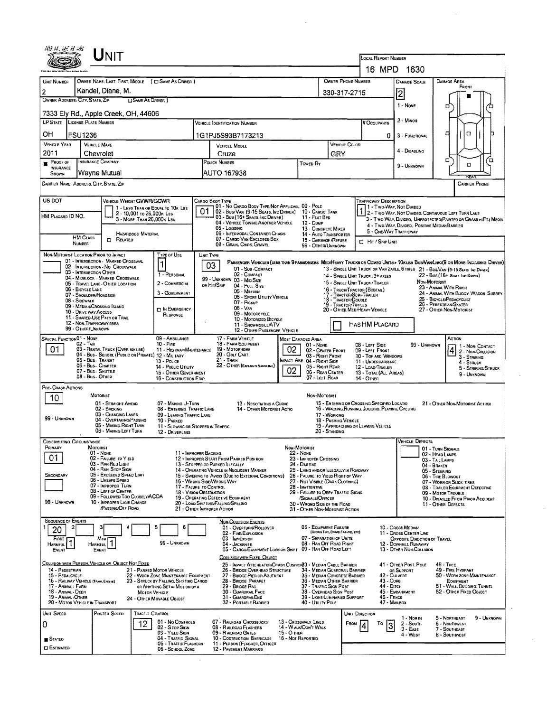|                                                                 |                   | UNIT                                                                                            |                            |                                                                                                             |                           |                                                                                                                                |                                                                                   |                                                                                            |                                                      |                                                                                                                   |                                                        |                                                                                                                              |  |  |  |  |
|-----------------------------------------------------------------|-------------------|-------------------------------------------------------------------------------------------------|----------------------------|-------------------------------------------------------------------------------------------------------------|---------------------------|--------------------------------------------------------------------------------------------------------------------------------|-----------------------------------------------------------------------------------|--------------------------------------------------------------------------------------------|------------------------------------------------------|-------------------------------------------------------------------------------------------------------------------|--------------------------------------------------------|------------------------------------------------------------------------------------------------------------------------------|--|--|--|--|
|                                                                 |                   |                                                                                                 |                            |                                                                                                             |                           |                                                                                                                                | LOCAL REPORT NUMBER<br>16 MPD 1630                                                |                                                                                            |                                                      |                                                                                                                   |                                                        |                                                                                                                              |  |  |  |  |
| UNIT NUMBER                                                     |                   |                                                                                                 |                            | OWNER NAME: LAST, FIRST, MIDDLE ( C) SAME AS DRIVER )                                                       |                           | <b>OWNER PHONE NUMBER</b>                                                                                                      |                                                                                   | DAMAGE SCALE                                                                               | DAMAGE AREA                                          |                                                                                                                   |                                                        |                                                                                                                              |  |  |  |  |
| $\overline{2}$                                                  |                   | Kandel, Diane, M.                                                                               |                            |                                                                                                             |                           |                                                                                                                                |                                                                                   |                                                                                            |                                                      |                                                                                                                   | 2                                                      | FRONT                                                                                                                        |  |  |  |  |
| OWNER ADDRESS: CITY, STATE, ZIP                                 |                   |                                                                                                 | <b>CISAME AS DRIVER</b> )  |                                                                                                             |                           | 330-317-2715                                                                                                                   |                                                                                   |                                                                                            |                                                      |                                                                                                                   | 1 - None                                               | α                                                                                                                            |  |  |  |  |
|                                                                 |                   | 7333 Ely Rd., Apple Creek, OH, 44606                                                            |                            |                                                                                                             |                           |                                                                                                                                |                                                                                   |                                                                                            |                                                      |                                                                                                                   |                                                        |                                                                                                                              |  |  |  |  |
| LP STATE LICENSE PLATE NUMBER                                   |                   |                                                                                                 |                            |                                                                                                             |                           | VEHICLE IDENTIFICATION NUMBER                                                                                                  |                                                                                   |                                                                                            |                                                      | # Occupants                                                                                                       | 2 - Minon                                              |                                                                                                                              |  |  |  |  |
| ОH                                                              | <b>FSU1236</b>    |                                                                                                 |                            |                                                                                                             |                           | 1G1PJ5S93B7173213                                                                                                              |                                                                                   |                                                                                            |                                                      | 0                                                                                                                 | 3 - FUNCTIONAL                                         | α<br>о                                                                                                                       |  |  |  |  |
| <b>VEHICLE YEAR</b><br>2011                                     |                   | <b>VEHICLE MAKE</b><br>Chevrolet                                                                |                            |                                                                                                             |                           | <b>VEHICLE MODEL</b><br>Cruze                                                                                                  |                                                                                   |                                                                                            |                                                      | VEHICLE COLOR                                                                                                     | 4 - DISABLING                                          |                                                                                                                              |  |  |  |  |
| Proof of                                                        |                   | INSURANCE COMPANY                                                                               |                            |                                                                                                             | POLICY NUMBER<br>TOWED BY |                                                                                                                                |                                                                                   |                                                                                            | GRY                                                  |                                                                                                                   | 9 - Unknown                                            | о<br>Έ<br>о                                                                                                                  |  |  |  |  |
| <b>INSURANCE</b><br><b>SHOWN</b>                                |                   | Wayne Mutual                                                                                    |                            |                                                                                                             |                           | AUTO 167938                                                                                                                    |                                                                                   |                                                                                            |                                                      |                                                                                                                   |                                                        | RFAI                                                                                                                         |  |  |  |  |
| CARRIER NAME, ADDRESS, CITY, STATE, ZIP<br><b>CARRIER PHONE</b> |                   |                                                                                                 |                            |                                                                                                             |                           |                                                                                                                                |                                                                                   |                                                                                            |                                                      |                                                                                                                   |                                                        |                                                                                                                              |  |  |  |  |
| US DOT                                                          |                   |                                                                                                 | VEHICLE WEIGHT GWWR/GCWR   |                                                                                                             |                           | CARGO BODY TYPE                                                                                                                |                                                                                   |                                                                                            |                                                      | TRAFFICWAY DESCRIPTION                                                                                            |                                                        |                                                                                                                              |  |  |  |  |
| HM PLACARD ID NO.                                               |                   |                                                                                                 | 2 - 10.001 to 26.000x Las  | 1 - LESS THAN OR EQUAL TO 10K LBS                                                                           | 01                        | 101 - No Cargo Body Type/Not Applicabl 09 - Pole<br>102 - Bus/Van (9-15 Seats, Inc Driver)<br>03 - Bus (16+ Seats, Inc DRIVER) |                                                                                   | 10 - CARGO TANK<br>11 - FLAT BED                                                           |                                                      | 1 - Two Way, Not Divided<br>2 - Two-Way, Not Divided, Continuous Left Turn Lane                                   |                                                        |                                                                                                                              |  |  |  |  |
|                                                                 |                   |                                                                                                 | 3 - MORE THAN 26,000K LBS. |                                                                                                             |                           | 04 - VEHICLE TOWING ANOTHER VEHICLE<br>05 - Logging                                                                            |                                                                                   | 12 - Dump<br>13 - CONCRETE MIXER                                                           |                                                      | 3 - T WO-WAY, DIVIDEO, UNPROTECTED(PAINTED OR GRASS >4FT.) MEOIA<br>4 - Two-Way, Divided. Positive Median Barrier |                                                        |                                                                                                                              |  |  |  |  |
|                                                                 | <b>HM CLASS</b>   | RELATED                                                                                         | HAZARDOUS MATERIAL         |                                                                                                             |                           | 06 - INTERMODAL CONTAINER CHASIS<br>07 - CARGO VAN/ENCLOSED BOX                                                                |                                                                                   | 14 - AUTO TRANSPORTER<br>15 - GARBAGE / REFUSE                                             |                                                      | $\Box$ Hit / Skip Unit                                                                                            | 5 - ONE WAY TRAFFICWAY                                 |                                                                                                                              |  |  |  |  |
|                                                                 | NUMBER            |                                                                                                 |                            |                                                                                                             |                           | 08 - GRAIN, CHIPS, GRAVEL                                                                                                      |                                                                                   | 99 - OTHER/UNKNOWN                                                                         |                                                      |                                                                                                                   |                                                        |                                                                                                                              |  |  |  |  |
|                                                                 |                   | NON-MOTORIST LOCATION PRIOR TO IMPACT<br>01 - INTERSECTION - MARKED CROSSWAL                    |                            | TYPE OF USE<br>1                                                                                            |                           | UNIT TYPE<br>03                                                                                                                |                                                                                   |                                                                                            |                                                      |                                                                                                                   |                                                        | PASSENGER VEHICLES (LESS THAN B PASSENGERS MEDIMEANY TRUCKS OR COMBO UNITS > 10KLBS BUS/VAN/LIMO(9 OR MORE INCLUDING DRIVER) |  |  |  |  |
|                                                                 |                   | 02 - INTERSECTION - NO CROSSWALK<br>03 - INTERSECTION OTHER<br>04 - MIDBLOCK - MARKED CROSSWALK |                            | 1 - PERSONAL                                                                                                |                           | 01 - Sub-COMPACT<br>02 - COMPACT                                                                                               |                                                                                   |                                                                                            |                                                      | 14 - SINGLE UNIT TRUCK: 3+ AXLES                                                                                  |                                                        | 13 - SINGLE UNIT TRUCK OR VAN ZAXLE, 6 TIRES 21 - BUS/VAN (9-15 SEATS INC DRIVER)<br>22 - BUS (16+ SEATS, INC DRIVER)        |  |  |  |  |
|                                                                 | 06 - BICYCLE LANE | 05 - TRAVEL LANE - OTHER LOCATION                                                               |                            | 2 - COMMERCIAL                                                                                              |                           | 99 - UNKNOWN 03 - MID SIZE<br>or Hit/Skip<br>04 - Full Size                                                                    |                                                                                   |                                                                                            |                                                      | 15 - SINGLE UNIT TRUCK / TRAILER<br>16 - TRUCK/TRACTOR (BOBTAIL)                                                  |                                                        | NON-MOTORIST<br>23 - ANIMAL WITH RIDER                                                                                       |  |  |  |  |
|                                                                 | 08 - SIDEWALK     | 07 - SHOULDER/ROADSIDE                                                                          |                            | 3 - GOVERNMENT                                                                                              |                           | 05 - MINIVAN<br>06 - Sport Utility Vehicle                                                                                     |                                                                                   |                                                                                            | 18 - TRACTOR/DOUBLE                                  | 17 - TRACTOR/SEMI-TRAILER                                                                                         |                                                        | 24 - ANIMAL WITH BUGGY, WAGON, SURREY<br>25 - BICYCLE/PEDACYCLIST                                                            |  |  |  |  |
|                                                                 |                   | 09 - MEDIAN/CROSSING ISLAND<br>10 - DRIVE WAY ACCESS                                            |                            | <b>TI IN EMERGENCY</b>                                                                                      |                           | 07 - Pickup<br>$08 - VAN$<br>09 - MOTORCYCLE                                                                                   |                                                                                   |                                                                                            | 19 - TRACTOR/TRIPLES<br>20 - OTHER MEDIHEAVY VEHICLE | 26 - PEDESTRIAN SKATER<br>27 - OTHER NON-MOTORIST                                                                 |                                                        |                                                                                                                              |  |  |  |  |
|                                                                 |                   | 11 - SHARED-USE PATH OR TRAIL<br>12 - NON-TRAFFICWAY AREA                                       |                            | RESPONSE                                                                                                    |                           | 10 - Motorized Bicycle<br>11 - SNOWMOBILE/ATV                                                                                  |                                                                                   |                                                                                            |                                                      | <b>HAS HM PLACARD</b>                                                                                             |                                                        |                                                                                                                              |  |  |  |  |
| <b>SPECIAL FUNCTION01 - NONE</b>                                |                   | 99 - OTHER/UNKNOWN                                                                              |                            | 09 - AMBULANCE                                                                                              |                           | 12 - OTHER PASSENGER VEHICLE<br>17 - FARM VEHICLE                                                                              |                                                                                   |                                                                                            |                                                      |                                                                                                                   |                                                        | Астюн                                                                                                                        |  |  |  |  |
| 01                                                              | 02 - TAXI         | 03 - RENTAL TRUCK (OVER 19KLBS)                                                                 |                            | $10 -$ Fine<br>11 - HIGHWAY/MAINTENANCE                                                                     |                           | <b>18 - FARM EQUIPMENT</b><br>19 - Мотопноме                                                                                   | 02                                                                                | <b>MOST DAMAGED AREA</b><br>01 - NONE<br>02 - CENTER FRONT                                 |                                                      | 08 - LEFT SIDE<br>09 - LEFT FRONT                                                                                 | 99 - UNKNOWN                                           | 1 - Non-Contact                                                                                                              |  |  |  |  |
|                                                                 |                   | 04 - Bus - School (Public or Private) 12 - Military<br>05 - Bus - Transit                       |                            | $13 - P_{OLICE}$                                                                                            |                           | 20 - GOLF CART<br>$21 -$ Train                                                                                                 |                                                                                   | 03 - RIGHT FRONT<br>MPACT ARE 04 - RIGHT SIDE                                              |                                                      | $ 4 $ 2 - Non-Collision<br>10 - TOP AND WINDOWS<br>3 - STRIKING<br>11 - UNDERCARRIAGE<br>4 - STRUCK               |                                                        |                                                                                                                              |  |  |  |  |
|                                                                 |                   | 06 - Bus. Charter<br>07 - Bus - SHUTTLE                                                         |                            | 14 - PUBLIC UTILITY<br>15 - OTHER GOVERNMENT                                                                |                           | 22 - OTHER (EXPLAN IN NARRA TIVE)                                                                                              | 02                                                                                | 05 - Right Rear<br>06 - REAR CENTER                                                        |                                                      | 12 - LOAD/TRAILER<br>13 - TOTAL (ALL AREAS)                                                                       |                                                        | 5 - STRIKING/STRUCK<br>9 - Unknown                                                                                           |  |  |  |  |
| PRE-CRASH ACTIONS                                               |                   | 08 - Bus. OTHER                                                                                 |                            | 16 - CONSTRUCTION EOIP.                                                                                     |                           |                                                                                                                                |                                                                                   | 07 - LEFT REAR                                                                             |                                                      | 14 - Отнен                                                                                                        |                                                        |                                                                                                                              |  |  |  |  |
| 10                                                              |                   | <b>MOTORIST</b>                                                                                 |                            |                                                                                                             |                           |                                                                                                                                |                                                                                   | NON-MOTORIST                                                                               |                                                      |                                                                                                                   |                                                        |                                                                                                                              |  |  |  |  |
|                                                                 |                   | 01 - STRAIGHT AHEAD<br>02 - BACKING                                                             |                            | 07 - MAKING U-TURN<br>08 - ENTERING TRAFFIC LANE                                                            |                           | 13 - NEGOTIATING A CURVE<br><b>14 - OTHER MOTORIST ACTIO</b>                                                                   |                                                                                   |                                                                                            |                                                      | 15 - ENTERING OR CROSSING SPECIFIED LOCATIO<br>16 - WALKING, RUNNING, JOGGING, PLAYING, CYCLING                   |                                                        | 21 - OTHER NON-MOTORIST ACTION                                                                                               |  |  |  |  |
| 99 - UNKNOWN                                                    |                   | 03 - CHANGING LANES<br>04 - OVERTAKING/PASSING                                                  |                            | 09 - LEAVING TRAFFIC LANE<br>10 - PARKED                                                                    |                           |                                                                                                                                |                                                                                   |                                                                                            | 17 - WORKING<br>18 - Pusmng Vencle                   |                                                                                                                   |                                                        |                                                                                                                              |  |  |  |  |
|                                                                 |                   | 05 - MAKING RIGHT TURN<br>06 - MAKING LEFT TURN                                                 |                            | 11 - Slowing or Stopped in Traffic<br>12 - DRIVERLESS                                                       |                           |                                                                                                                                |                                                                                   |                                                                                            | 20 - STANDING                                        | 19 - APPROACHING OR LEAVING VEHICLE                                                                               |                                                        |                                                                                                                              |  |  |  |  |
| <b>CONTRIBUTING CIRCUMSTANCE</b><br><b>HRIMARY</b>              |                   | <b>MOTORIST</b>                                                                                 |                            |                                                                                                             |                           |                                                                                                                                | NON-MOTORIST                                                                      |                                                                                            |                                                      |                                                                                                                   | <b>VEHICLE DEFECTS</b>                                 | 01 - TURN SIGNALS                                                                                                            |  |  |  |  |
| 01                                                              |                   | 01 - NONE<br>02 - FAILURE TO YIELD                                                              |                            | 11 - IMPROPER BACKING                                                                                       |                           | 12 - IMPROPER START FROM PARKED POSITION                                                                                       |                                                                                   | 22 - NONE<br>23 - IMPROPER CROSSING                                                        |                                                      |                                                                                                                   |                                                        | 02 - HEAD LAMPS<br>03 - TAIL LAMPS                                                                                           |  |  |  |  |
|                                                                 |                   | 03 - RAN RED LIGHT<br>04 - RAN STOP SIGN                                                        |                            |                                                                                                             |                           | 13 - STOPPED OR PARKED LLEGALLY<br>14 - OPERATING VEHICLE IN NEGLIGENT MANNER                                                  |                                                                                   | 24 - DARTING<br>25 - LYING AND/OR ILLEGALLY IN ROADWAY                                     |                                                      |                                                                                                                   |                                                        | 04 - BRAKES<br>05 - STEERING                                                                                                 |  |  |  |  |
| <b>SECONDARY</b>                                                |                   | 05 - Exceeded Speed Limit<br>06 - UNSAFE SPEED                                                  |                            |                                                                                                             |                           | 15 - Swering to Avoid (Due to External Conditions)<br>16 - WRONG SIDEAVRONG WAY                                                |                                                                                   | 26 - FALURE TO YIELD RIGHT OF WAY<br>27 - Not Visible (DARK CLOTHING)                      |                                                      |                                                                                                                   |                                                        | 06 - TIRE BLOWOUT<br>07 - WORN OR SLICK TIRES                                                                                |  |  |  |  |
|                                                                 |                   | 07 - IMPROPER TURN<br>08 - LEFT OF CENTER<br>09 - Followed Too Closelv/ACDA                     |                            | 17 - FALURE TO CONTROL<br>18 - VISION OBSTRUCTION                                                           |                           |                                                                                                                                |                                                                                   | 28 - INATTENTIVE<br>29 - FAILURE TO OBEY TRAFFIC SIGNS                                     |                                                      |                                                                                                                   | 08 - TRAILER EQUIPMENT DEFECTIVE<br>09 - MOTOR TROUBLE |                                                                                                                              |  |  |  |  |
| 99 - UNKNOWN                                                    |                   | 10 - IMPROPER LANE CHANGE<br><b>PASSING OFF ROAD</b>                                            |                            |                                                                                                             |                           | 19 - OPERATING DEFECTIVE EQUIPMENT<br>20 - LOAD SHIFTING/FALLING/SPILLING<br>21 - OTHER IMPROPER ACTION                        | /SIGNALS/OFFICER<br>30 - Wrong Side of the Road<br>31 - OTHER NON-MOTORIST ACTION |                                                                                            |                                                      | 10 - DISABLED FROM PRIOR ACCIDENT<br><b>11 - OTHER DEFECTS</b>                                                    |                                                        |                                                                                                                              |  |  |  |  |
| <b>SEQUENCE OF EVENTS</b>                                       |                   |                                                                                                 |                            |                                                                                                             |                           | NON-COLLISION EVENTS                                                                                                           |                                                                                   |                                                                                            |                                                      |                                                                                                                   |                                                        |                                                                                                                              |  |  |  |  |
| 20                                                              |                   |                                                                                                 |                            | 5<br>6                                                                                                      |                           | 01 - OVERTURN/ROLLOVER<br>02 - FIRE/EXPLOSION                                                                                  |                                                                                   | 06 - EQUIPMENT FAILURE                                                                     | (BLOWN TIRE, BRAKE FALURE, ETC)                      |                                                                                                                   | 10 - CROSS MEDIAN<br>11 - Cross Center Line            |                                                                                                                              |  |  |  |  |
| FIRST<br>HARMFUL <sup>1</sup>                                   |                   | Мом<br><b>HARMFUL</b>                                                                           |                            | 99 - Unknown                                                                                                |                           | 03 - IMMERSION<br>04 - JACKKNIFE                                                                                               |                                                                                   | 07 - SEPARATION OF UNITS<br>08 - RAN OFF ROAD RIGHT                                        |                                                      |                                                                                                                   | OPPOSITE DIRECTION OF TRAVEL<br>12 - DOWNHILL RUNAWAY  |                                                                                                                              |  |  |  |  |
| EVENT                                                           |                   | EVENT                                                                                           |                            |                                                                                                             |                           | 05 - CARGO/EQUIPMENT LOSS OR SHIFT<br>COLLISION WITH FIXED, OBJECT                                                             |                                                                                   | 09 - RAN OFF ROAD LEFT                                                                     |                                                      |                                                                                                                   | 13 - OTHER NON-COLLISION                               |                                                                                                                              |  |  |  |  |
| 14 - PEDESTRIAN                                                 |                   | <u>Collision with Person, Vehicle or Object Not Fixed</u>                                       |                            |                                                                                                             |                           | 25 - IMPACT ATTENUATOR/CRASH CUSHION33 - MEDIAN CABLE BARRIER                                                                  |                                                                                   |                                                                                            |                                                      |                                                                                                                   | 41 - OTHER POST, POLE                                  | $48 - These$                                                                                                                 |  |  |  |  |
| 15 - PEDALCYCLE<br>16 - RAILWAY VEHICLE (TRAN, ENGINE)          |                   |                                                                                                 |                            | 21 - PARKED MOTOR VEHICLE<br>22 - WORK ZONE MAINTENANCE EQUIPMENT<br>23 - STRUCK BY FALLING, SHIFTING CARGO |                           | 26 - BRIDGE OVERHEAD STRUCTURE<br>27 - BRIDGE PIER OR ABUTMENT<br>28 - BRIDGE PARAPET                                          |                                                                                   | 34 - MEDIAN GUARDRAIL BARRIER<br>35 - MEDIAN CONCRETE BARRIER<br>36 - MEDIAN OTHER BARRIER |                                                      | 43 - Curs                                                                                                         | OR SUPPORT<br>42 - CULVERT                             | 49 - FIRE HYDRANT<br>50 - WORK ZONE MAINTENANCE<br>EQUIPMENT                                                                 |  |  |  |  |
| 17 - Animal - Farm<br>18 - ANIMAL - DEER                        |                   |                                                                                                 | <b>MOTOR VEHICLE</b>       | OR ANYTHING SET IN MOTION BY A                                                                              |                           | 29 - BRIDGE RAIL<br>30 - GUARDRAIL FACE                                                                                        |                                                                                   | 37 - Traffic Sign Post<br>38 - Overhead Sign Post                                          |                                                      | 44 - Олсн<br>45 - Емванкмент                                                                                      | 51 - WALL, BUILDING, TUNNEL<br>52 - Other Fixed Object |                                                                                                                              |  |  |  |  |
| 19 - ANIMAL -OTHER                                              |                   | 20 - MOTOR VEHICLE IN TRANSPORT                                                                 |                            | 24 - OTHER MOVABLE OBJECT                                                                                   |                           | 31 - GUARDRAILEND<br>32 - PORTABLE BARRIER                                                                                     |                                                                                   | 39 - Light/Luminaries Support<br>40 - Unuty Pole                                           |                                                      |                                                                                                                   | 46 - FENCE<br>47 - Marsox                              |                                                                                                                              |  |  |  |  |
| Unit Speed                                                      |                   | Posted Speed                                                                                    | <b>TRAFFIC CONTROL</b>     |                                                                                                             |                           |                                                                                                                                |                                                                                   |                                                                                            |                                                      | <b>UNIT DIRECTION</b>                                                                                             |                                                        | 5 - Northeast<br>9 - UNKNOWN                                                                                                 |  |  |  |  |
| 0                                                               |                   |                                                                                                 | 12                         | 01 - No CONTROLS<br>02 - S top Sign                                                                         |                           | 07 - RAILROAD CROSSBUCKS<br>08 - RAILROAD FLASHERS                                                                             |                                                                                   | 13 - CROSSWALK LINES<br>14 - WALK/DON'T WALK                                               |                                                      | FROM<br>Т٥                                                                                                        | 1 NORTH<br>2 - South<br>3<br>$3 - East$                | 6 - NORTHWEST<br>7 - SOUTHEAST                                                                                               |  |  |  |  |
| <b>B</b> Stated                                                 |                   |                                                                                                 |                            | 03 - Yield Sign<br>04 - TRAFFIC SIGNAL                                                                      |                           | 09 - R ALROAD GATES<br>10 - COSTRUCTION BARRICADE                                                                              | 15 - О тнев<br>16 - Not Reported                                                  |                                                                                            |                                                      |                                                                                                                   | 4 - West                                               | <b>B-SOUTHWEST</b>                                                                                                           |  |  |  |  |
| <b>ESTIMATED</b>                                                |                   |                                                                                                 |                            | 05 - TRAFFIC FLASHERS<br>06 - SCHOOL ZONE                                                                   |                           | 11 - PERSON (FLAGGER, OFFICER<br>12 - PAVEMENT MARKINGS                                                                        |                                                                                   |                                                                                            |                                                      |                                                                                                                   |                                                        |                                                                                                                              |  |  |  |  |
|                                                                 |                   |                                                                                                 |                            |                                                                                                             |                           |                                                                                                                                |                                                                                   |                                                                                            |                                                      |                                                                                                                   |                                                        |                                                                                                                              |  |  |  |  |

 $\sim$ 

 $\sim$ 

 $\hat{\boldsymbol{\epsilon}}$ 

 $\hat{\mathcal{L}}$